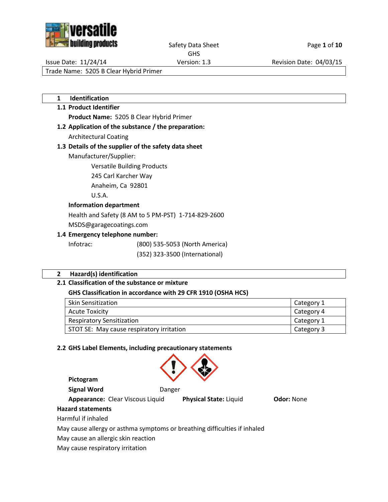

Safety Data Sheet Page 1 of 10

GHS

Issue Date: 11/24/14 Version: 1.3 Revision Date: 04/03/15

Trade Name: 5205 B Clear Hybrid Primer

**1 Identification**

# **1.1 Product Identifier**

**Product Name:** 5205 B Clear Hybrid Primer

**1.2 Application of the substance / the preparation:** Architectural Coating

# **1.3 Details of the supplier of the safety data sheet**

Manufacturer/Supplier:

Versatile Building Products

245 Carl Karcher Way

Anaheim, Ca 92801

U.S.A.

## **Information department**

Health and Safety (8 AM to 5 PM-PST) 1-714-829-2600

MSDS@garagecoatings.com

## **1.4 Emergency telephone number:**

Infotrac: (800) 535-5053 (North America)

(352) 323-3500 (International)

## **2 Hazard(s) identification**

## **2.1 Classification of the substance or mixture**

## **GHS Classification in accordance with 29 CFR 1910 (OSHA HCS)**

| <b>Skin Sensitization</b>                 | Category 1 |
|-------------------------------------------|------------|
| Acute Toxicity                            | Category 4 |
| <b>Respiratory Sensitization</b>          | Category 1 |
| STOT SE: May cause respiratory irritation | Category 3 |

## **2.2 GHS Label Elements, including precautionary statements**



**Pictogram**

**Appearance:** Clear Viscous Liquid **Physical State:** Liquid **Odor:** None

## **Hazard statements**

Harmful if inhaled

May cause allergy or asthma symptoms or breathing difficulties if inhaled

May cause an allergic skin reaction

May cause respiratory irritation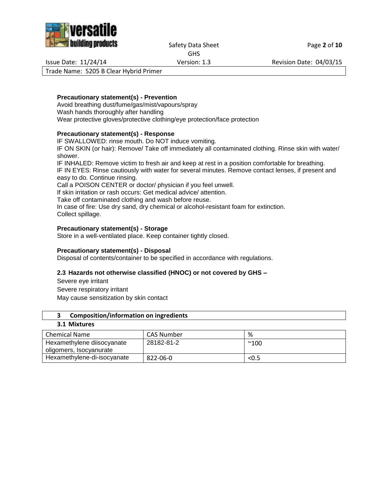

Safety Data Sheet Page 2 of 10

GHS

Issue Date: 11/24/14 Version: 1.3 Revision Date: 04/03/15

Trade Name: 5205 B Clear Hybrid Primer

## **Precautionary statement(s) - Prevention**

Avoid breathing dust/fume/gas/mist/vapours/spray Wash hands thoroughly after handling Wear protective gloves/protective clothing/eye protection/face protection

## **Precautionary statement(s) - Response**

IF SWALLOWED: rinse mouth. Do NOT induce vomiting.

IF ON SKIN (or hair): Remove/ Take off immediately all contaminated clothing. Rinse skin with water/ shower.

IF INHALED: Remove victim to fresh air and keep at rest in a position comfortable for breathing. IF IN EYES: Rinse cautiously with water for several minutes. Remove contact lenses, if present and easy to do. Continue rinsing.

Call a POISON CENTER or doctor/ physician if you feel unwell.

If skin irritation or rash occurs: Get medical advice/ attention.

Take off contaminated clothing and wash before reuse.

In case of fire: Use dry sand, dry chemical or alcohol-resistant foam for extinction. Collect spillage.

## **Precautionary statement(s) - Storage**

Store in a well-ventilated place. Keep container tightly closed.

## **Precautionary statement(s) - Disposal**

Disposal of contents/container to be specified in accordance with regulations.

## **2.3 Hazards not otherwise classified (HNOC) or not covered by GHS –**

Severe eye irritant Severe respiratory irritant May cause sensitization by skin contact

## **3 Composition/information on ingredients**

## **3.1 Mixtures**

| Chemical Name                                         | CAS Number | %            |
|-------------------------------------------------------|------------|--------------|
| Hexamethylene diisocyanate<br>oligomers, Isocyanurate | 28182-81-2 | $^{\sim}100$ |
| Hexamethylene-di-isocyanate                           | 822-06-0   | < 0.5        |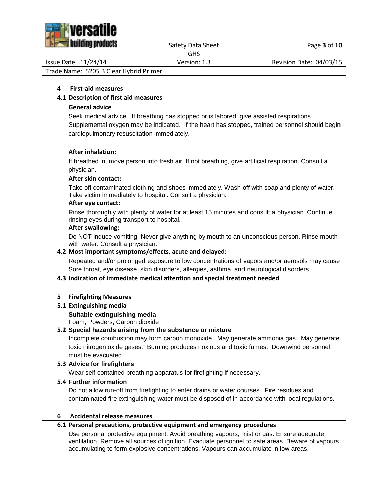

#### Safety Data Sheet Page **3** of **10** GHS

Issue Date: 11/24/14 Version: 1.3 Revision Date: 04/03/15

Trade Name: 5205 B Clear Hybrid Primer

#### **4 First-aid measures**

# **4.1 Description of first aid measures**

## **General advice**

Seek medical advice. If breathing has stopped or is labored, give assisted respirations. Supplemental oxygen may be indicated. If the heart has stopped, trained personnel should begin cardiopulmonary resuscitation immediately.

## **After inhalation:**

If breathed in, move person into fresh air. If not breathing, give artificial respiration. Consult a physician.

## **After skin contact:**

Take off contaminated clothing and shoes immediately. Wash off with soap and plenty of water. Take victim immediately to hospital. Consult a physician.

#### **After eye contact:**

Rinse thoroughly with plenty of water for at least 15 minutes and consult a physician. Continue rinsing eyes during transport to hospital.

#### **After swallowing:**

Do NOT induce vomiting. Never give anything by mouth to an unconscious person. Rinse mouth with water. Consult a physician.

## **4.2 Most important symptoms/effects, acute and delayed:**

Repeated and/or prolonged exposure to low concentrations of vapors and/or aerosols may cause: Sore throat, eye disease, skin disorders, allergies, asthma, and neurological disorders.

## **4.3 Indication of immediate medical attention and special treatment needed**

## **5 Firefighting Measures**

## **5.1 Extinguishing media**

# **Suitable extinguishing media**

Foam, Powders, Carbon dioxide

## **5.2 Special hazards arising from the substance or mixture**

Incomplete combustion may form carbon monoxide. May generate ammonia gas. May generate toxic nitrogen oxide gases. Burning produces noxious and toxic fumes. Downwind personnel must be evacuated.

## **5.3 Advice for firefighters**

Wear self-contained breathing apparatus for firefighting if necessary.

## **5.4 Further information**

Do not allow run-off from firefighting to enter drains or water courses. Fire residues and contaminated fire extinguishing water must be disposed of in accordance with local regulations.

## **6 Accidental release measures**

## **6.1 Personal precautions, protective equipment and emergency procedures**

Use personal protective equipment. Avoid breathing vapours, mist or gas. Ensure adequate ventilation. Remove all sources of ignition. Evacuate personnel to safe areas. Beware of vapours accumulating to form explosive concentrations. Vapours can accumulate in low areas.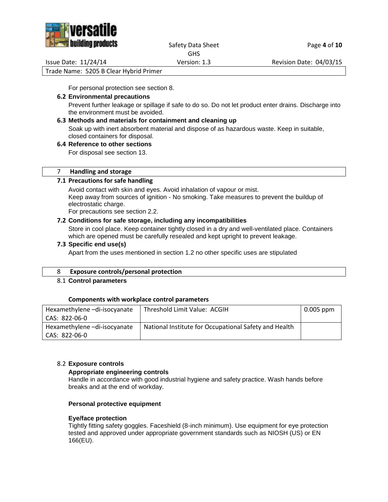

Safety Data Sheet Page 4 of 10 GHS

Issue Date: 11/24/14 Version: 1.3 Revision Date: 04/03/15

Trade Name: 5205 B Clear Hybrid Primer

For personal protection see section 8.

## **6.2 Environmental precautions**

Prevent further leakage or spillage if safe to do so. Do not let product enter drains. Discharge into the environment must be avoided.

## **6.3 Methods and materials for containment and cleaning up**

Soak up with inert absorbent material and dispose of as hazardous waste. Keep in suitable, closed containers for disposal.

## **6.4 Reference to other sections**

For disposal see section 13.

## 7 **Handling and storage**

## **7.1 Precautions for safe handling**

Avoid contact with skin and eyes. Avoid inhalation of vapour or mist. Keep away from sources of ignition - No smoking. Take measures to prevent the buildup of electrostatic charge.

For precautions see section 2.2.

## **7.2 Conditions for safe storage, including any incompatibilities**

Store in cool place. Keep container tightly closed in a dry and well-ventilated place. Containers which are opened must be carefully resealed and kept upright to prevent leakage.

## **7.3 Specific end use(s)**

Apart from the uses mentioned in section 1.2 no other specific uses are stipulated

## 8 **Exposure controls/personal protection**

## 8.1 **Control parameters**

## **Components with workplace control parameters**

| Hexamethylene-di-isocyanate | Threshold Limit Value: ACGIH                          | $0.005$ ppm |
|-----------------------------|-------------------------------------------------------|-------------|
| CAS: 822-06-0               |                                                       |             |
| Hexamethylene-di-isocyanate | National Institute for Occupational Safety and Health |             |
| CAS: 822-06-0               |                                                       |             |

## 8.2 **Exposure controls**

## **Appropriate engineering controls**

Handle in accordance with good industrial hygiene and safety practice. Wash hands before breaks and at the end of workday.

## **Personal protective equipment**

## **Eye/face protection**

Tightly fitting safety goggles. Faceshield (8-inch minimum). Use equipment for eye protection tested and approved under appropriate government standards such as NIOSH (US) or EN 166(EU).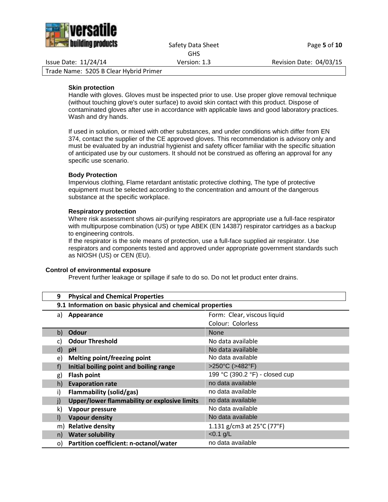

Issue Date: 11/24/14 Version: 1.3 Revision Date: 04/03/15

Trade Name: 5205 B Clear Hybrid Primer

## **Skin protection**

Handle with gloves. Gloves must be inspected prior to use. Use proper glove removal technique (without touching glove's outer surface) to avoid skin contact with this product. Dispose of contaminated gloves after use in accordance with applicable laws and good laboratory practices. Wash and dry hands.

If used in solution, or mixed with other substances, and under conditions which differ from EN 374, contact the supplier of the CE approved gloves. This recommendation is advisory only and must be evaluated by an industrial hygienist and safety officer familiar with the specific situation of anticipated use by our customers. It should not be construed as offering an approval for any specific use scenario.

#### **Body Protection**

Impervious clothing, Flame retardant antistatic protective clothing, The type of protective equipment must be selected according to the concentration and amount of the dangerous substance at the specific workplace.

#### **Respiratory protection**

Where risk assessment shows air-purifying respirators are appropriate use a full-face respirator with multipurpose combination (US) or type ABEK (EN 14387) respirator cartridges as a backup to engineering controls.

If the respirator is the sole means of protection, use a full-face supplied air respirator. Use respirators and components tested and approved under appropriate government standards such as NIOSH (US) or CEN (EU).

#### **Control of environmental exposure**

Prevent further leakage or spillage if safe to do so. Do not let product enter drains.

| 9  | <b>Physical and Chemical Properties</b>                   |                                |  |
|----|-----------------------------------------------------------|--------------------------------|--|
|    | 9.1 Information on basic physical and chemical properties |                                |  |
| a) | Appearance                                                | Form: Clear, viscous liquid    |  |
|    |                                                           | Colour: Colorless              |  |
| b) | Odour                                                     | <b>None</b>                    |  |
|    | <b>Odour Threshold</b>                                    | No data available              |  |
| d) | pH                                                        | No data available              |  |
| e) | Melting point/freezing point                              | No data available              |  |
| f) | Initial boiling point and boiling range                   | >250°C (>482°F)                |  |
| g) | <b>Flash point</b>                                        | 199 °C (390.2 °F) - closed cup |  |
| h) | <b>Evaporation rate</b>                                   | no data available              |  |
| i) | Flammability (solid/gas)                                  | no data available              |  |
| j) | Upper/lower flammability or explosive limits              | no data available              |  |
| k) | Vapour pressure                                           | No data available              |  |
| I) | <b>Vapour density</b>                                     | No data available              |  |
| m) | <b>Relative density</b>                                   | 1.131 g/cm3 at 25°C (77°F)     |  |
| n) | <b>Water solubility</b>                                   | $< 0.1$ g/L                    |  |
| O) | Partition coefficient: n-octanol/water                    | no data available              |  |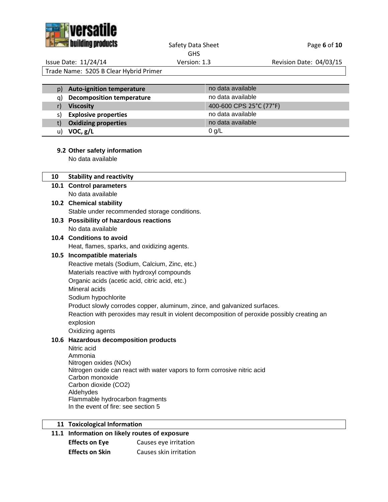

## Safety Data Sheet Page 6 of 10 GHS

Issue Date: 11/24/14 Version: 1.3 Revision Date: 04/03/15

Trade Name: 5205 B Clear Hybrid Primer

| p) | <b>Auto-ignition temperature</b> | no data available       |
|----|----------------------------------|-------------------------|
| a) | <b>Decomposition temperature</b> | no data available       |
|    | <b>Viscosity</b>                 | 400-600 CPS 25°C (77°F) |
| S) | <b>Explosive properties</b>      | no data available       |
| t) | <b>Oxidizing properties</b>      | no data available       |
| u) | VOC, g/L                         | $0$ g/L                 |

# **9.2 Other safety information**

No data available

| 10 | <b>Stability and reactivity</b>                                                              |
|----|----------------------------------------------------------------------------------------------|
|    | 10.1 Control parameters                                                                      |
|    | No data available                                                                            |
|    | 10.2 Chemical stability                                                                      |
|    | Stable under recommended storage conditions.                                                 |
|    | 10.3 Possibility of hazardous reactions                                                      |
|    | No data available                                                                            |
|    | 10.4 Conditions to avoid                                                                     |
|    | Heat, flames, sparks, and oxidizing agents.                                                  |
|    | 10.5 Incompatible materials                                                                  |
|    | Reactive metals (Sodium, Calcium, Zinc, etc.)                                                |
|    | Materials reactive with hydroxyl compounds                                                   |
|    | Organic acids (acetic acid, citric acid, etc.)                                               |
|    | Mineral acids                                                                                |
|    | Sodium hypochlorite                                                                          |
|    | Product slowly corrodes copper, aluminum, zince, and galvanized surfaces.                    |
|    | Reaction with peroxides may result in violent decomposition of peroxide possibly creating an |
|    | explosion                                                                                    |
|    | Oxidizing agents                                                                             |
|    | 10.6 Hazardous decomposition products                                                        |
|    | Nitric acid                                                                                  |
|    | Ammonia<br>Nitrogen oxides (NOx)                                                             |
|    | Nitrogen oxide can react with water vapors to form corrosive nitric acid                     |
|    | Carbon monoxide                                                                              |
|    | Carbon dioxide (CO2)                                                                         |
|    | Aldehydes                                                                                    |
|    | Flammable hydrocarbon fragments                                                              |
|    | In the event of fire: see section 5                                                          |
|    |                                                                                              |
|    | 11 Toxicological Information                                                                 |

# **11.1 Information on likely routes of exposure**

| <b>Effects on Eye</b>  | Causes eye irritation  |
|------------------------|------------------------|
| <b>Effects on Skin</b> | Causes skin irritation |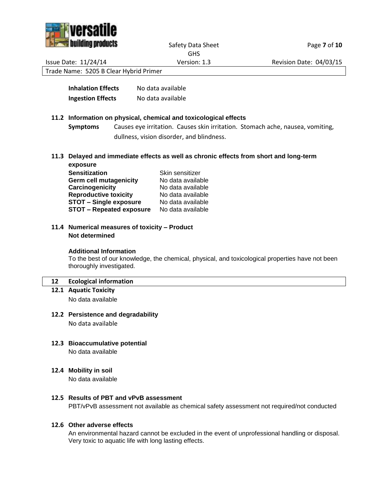



Safety Data Sheet Page **7** of 10 GHS

Issue Date: 11/24/14 Version: 1.3 Revision Date: 04/03/15

Trade Name: 5205 B Clear Hybrid Primer

| <b>Inhalation Effects</b> | No data available |
|---------------------------|-------------------|
| <b>Ingestion Effects</b>  | No data available |

## **11.2 Information on physical, chemical and toxicological effects**

**Symptoms** Causes eye irritation. Causes skin irritation. Stomach ache, nausea, vomiting, dullness, vision disorder, and blindness.

**11.3 Delayed and immediate effects as well as chronic effects from short and long-term exposure**

| Skin sensitizer   |
|-------------------|
| No data available |
| No data available |
| No data available |
| No data available |
| No data available |
|                   |

**11.4 Numerical measures of toxicity – Product Not determined**

#### **Additional Information**

To the best of our knowledge, the chemical, physical, and toxicological properties have not been thoroughly investigated.

## **12 Ecological information**

**12.1 Aquatic Toxicity**

No data available

## **12.2 Persistence and degradability**

No data available

- **12.3 Bioaccumulative potential** No data available
- **12.4 Mobility in soil**

No data available

## **12.5 Results of PBT and vPvB assessment**

PBT/vPvB assessment not available as chemical safety assessment not required/not conducted

## **12.6 Other adverse effects**

An environmental hazard cannot be excluded in the event of unprofessional handling or disposal. Very toxic to aquatic life with long lasting effects.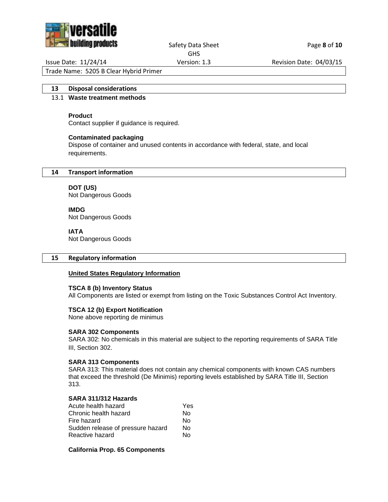

Safety Data Sheet Page 8 of 10 GHS

Issue Date: 11/24/14 Version: 1.3 Revision Date: 04/03/15

Trade Name: 5205 B Clear Hybrid Primer

# **13 Disposal considerations**

# 13.1 **Waste treatment methods**

# **Product**

Contact supplier if guidance is required.

# **Contaminated packaging**

Dispose of container and unused contents in accordance with federal, state, and local requirements.

# **14 Transport information**

**DOT (US)** Not Dangerous Goods

**IMDG**

Not Dangerous Goods

## **IATA**

Not Dangerous Goods

## **15 Regulatory information**

## **United States Regulatory Information**

## **TSCA 8 (b) Inventory Status**

All Components are listed or exempt from listing on the Toxic Substances Control Act Inventory.

## **TSCA 12 (b) Export Notification**

None above reporting de minimus

## **SARA 302 Components**

SARA 302: No chemicals in this material are subject to the reporting requirements of SARA Title III, Section 302.

## **SARA 313 Components**

SARA 313: This material does not contain any chemical components with known CAS numbers that exceed the threshold (De Minimis) reporting levels established by SARA Title III, Section 313.

## **SARA 311/312 Hazards**

| Acute health hazard               | Yes |
|-----------------------------------|-----|
| Chronic health hazard             | N٥  |
| Fire hazard                       | N٥  |
| Sudden release of pressure hazard | N٥  |
| Reactive hazard                   | N٥  |
|                                   |     |

## **California Prop. 65 Components**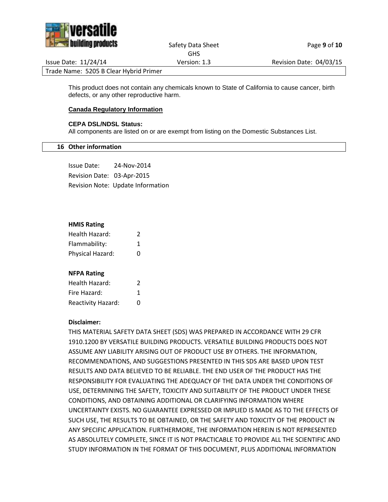

#### Safety Data Sheet Page 9 of 10 GHS

Issue Date: 11/24/14 Version: 1.3 Revision Date: 04/03/15

Trade Name: 5205 B Clear Hybrid Primer

This product does not contain any chemicals known to State of California to cause cancer, birth defects, or any other reproductive harm.

## **Canada Regulatory Information**

## **CEPA DSL/NDSL Status:**

All components are listed on or are exempt from listing on the Domestic Substances List.

## **16 Other information**

Issue Date: 24-Nov-2014 Revision Date: 03-Apr-2015 Revision Note: Update Information

## **HMIS Rating**

| Health Hazard:   | 2 |  |
|------------------|---|--|
| Flammability:    | 1 |  |
| Physical Hazard: | O |  |

## **NFPA Rating**

| Health Hazard:            | 2 |
|---------------------------|---|
| Fire Hazard:              | 1 |
| <b>Reactivity Hazard:</b> | O |

## **Disclaimer:**

THIS MATERIAL SAFETY DATA SHEET (SDS) WAS PREPARED IN ACCORDANCE WITH 29 CFR 1910.1200 BY VERSATILE BUILDING PRODUCTS. VERSATILE BUILDING PRODUCTS DOES NOT ASSUME ANY LIABILITY ARISING OUT OF PRODUCT USE BY OTHERS. THE INFORMATION, RECOMMENDATIONS, AND SUGGESTIONS PRESENTED IN THIS SDS ARE BASED UPON TEST RESULTS AND DATA BELIEVED TO BE RELIABLE. THE END USER OF THE PRODUCT HAS THE RESPONSIBILITY FOR EVALUATING THE ADEQUACY OF THE DATA UNDER THE CONDITIONS OF USE, DETERMINING THE SAFETY, TOXICITY AND SUITABILITY OF THE PRODUCT UNDER THESE CONDITIONS, AND OBTAINING ADDITIONAL OR CLARIFYING INFORMATION WHERE UNCERTAINTY EXISTS. NO GUARANTEE EXPRESSED OR IMPLIED IS MADE AS TO THE EFFECTS OF SUCH USE, THE RESULTS TO BE OBTAINED, OR THE SAFETY AND TOXICITY OF THE PRODUCT IN ANY SPECIFIC APPLICATION. FURTHERMORE, THE INFORMATION HEREIN IS NOT REPRESENTED AS ABSOLUTELY COMPLETE, SINCE IT IS NOT PRACTICABLE TO PROVIDE ALL THE SCIENTIFIC AND STUDY INFORMATION IN THE FORMAT OF THIS DOCUMENT, PLUS ADDITIONAL INFORMATION